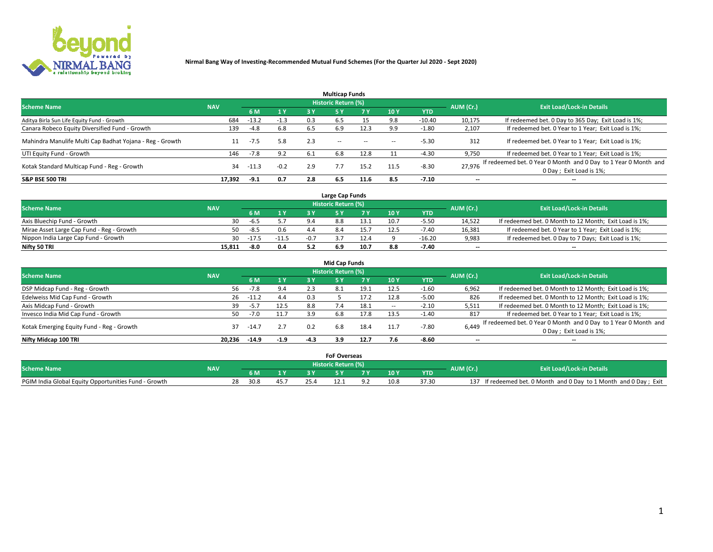

|                                                          |            |         |        |      | <b>Multicap Funds</b> |           |      |            |                          |                                                                                             |
|----------------------------------------------------------|------------|---------|--------|------|-----------------------|-----------|------|------------|--------------------------|---------------------------------------------------------------------------------------------|
| <b>Scheme Name</b>                                       | <b>NAV</b> |         |        |      | Historic Return (%)   |           |      |            | AUM (Cr.)                | <b>Exit Load/Lock-in Details</b>                                                            |
|                                                          |            | 6 M     | 1 Y    | 3 Y  |                       | <b>7Y</b> | 10Y  | <b>YTD</b> |                          |                                                                                             |
| Aditya Birla Sun Life Equity Fund - Growth               | 684        | $-13.2$ | $-1.3$ | 0.3  | 6.5                   |           | 9.8  | $-10.40$   | 10,175                   | If redeemed bet. 0 Day to 365 Day; Exit Load is 1%;                                         |
| Canara Robeco Equity Diversified Fund - Growth           | 139        | $-4.8$  | 6.8    | 6.5  | 6.9                   | 12.3      | 9.9  | $-1.80$    | 2,107                    | If redeemed bet. 0 Year to 1 Year; Exit Load is 1%;                                         |
| Mahindra Manulife Multi Cap Badhat Yojana - Reg - Growth |            | -7.5    | 5.8    | 2.3  | $\sim$ $-$            | $-$       | --   | $-5.30$    | 312                      | If redeemed bet. 0 Year to 1 Year; Exit Load is 1%;                                         |
| UTI Equity Fund - Growth                                 | 146        | $-7.8$  | 9.2    | -6.1 | 6.8                   | 12.8      |      | $-4.30$    | 9,750                    | If redeemed bet. 0 Year to 1 Year; Exit Load is 1%;                                         |
| Kotak Standard Multicap Fund - Reg - Growth              | 34         | $-11.3$ | $-0.2$ | 2.9  |                       | 15.2      | 11.5 | $-8.30$    | 27.976                   | If redeemed bet. 0 Year 0 Month and 0 Day to 1 Year 0 Month and<br>0 Day ; Exit Load is 1%; |
| <b>S&amp;P BSE 500 TRI</b>                               | 17.392     | $-9.1$  | 0.7    | 2.8  | 6.5                   | 11.6      | 8.5  | $-7.10$    | $\overline{\phantom{a}}$ | $- -$                                                                                       |

|                                           |            |         |         |        | Large Cap Funds     |      |      |            |                          |                                                        |
|-------------------------------------------|------------|---------|---------|--------|---------------------|------|------|------------|--------------------------|--------------------------------------------------------|
| <b>Scheme Name</b>                        | <b>NAV</b> |         |         |        | Historic Return (%) |      |      |            | AUM (Cr.)                | <b>Exit Load/Lock-in Details</b>                       |
|                                           |            |         | 1 Y     |        |                     |      | 10 Y | <b>YTD</b> |                          |                                                        |
| Axis Bluechip Fund - Growth               | 30         | -ხ.5    |         | 9.4    | 8.8                 |      | 10.7 | $-5.5C$    | 14,522                   | If redeemed bet. 0 Month to 12 Month; Exit Load is 1%; |
| Mirae Asset Large Cap Fund - Reg - Growth | 50         | -8.5    | 0.6     |        |                     |      |      | $-7.40$    | 16,381                   | If redeemed bet. 0 Year to 1 Year; Exit Load is 1%;    |
| Nippon India Large Cap Fund - Growth      | 30         | $-17.5$ | $-11.5$ | $-0.7$ |                     |      |      | $-16.20$   | 9,983                    | If redeemed bet. 0 Day to 7 Days; Exit Load is 1%;     |
| Nifty 50 TRI                              | 15,811     | -8.0    | 0.4     |        |                     | 10.7 |      | $-7.40$    | $\overline{\phantom{a}}$ | $- -$                                                  |

|                                           |            |         |        |        | <b>Mid Cap Funds</b>       |      |            |            |                          |                                                                 |
|-------------------------------------------|------------|---------|--------|--------|----------------------------|------|------------|------------|--------------------------|-----------------------------------------------------------------|
| <b>Scheme Name</b>                        | <b>NAV</b> |         |        |        | <b>Historic Return (%)</b> |      |            |            | AUM (Cr.)                | <b>Exit Load/Lock-in Details</b>                                |
|                                           |            | 6 M     | 1 Y    | 3 Y    |                            | 7 V  | <b>10Y</b> | <b>YTD</b> |                          |                                                                 |
| DSP Midcap Fund - Reg - Growth            | 56         | $-7.8$  | 9.4    | 2.3    | 8.1                        | 19.1 | 12.5       | $-1.60$    | 6,962                    | If redeemed bet. 0 Month to 12 Month; Exit Load is 1%;          |
| Edelweiss Mid Cap Fund - Growth           | 26         | $-11.2$ | 4.4    | 0.3    |                            | 17.2 | 12.8       | $-5.00$    | 826                      | If redeemed bet. 0 Month to 12 Month; Exit Load is 1%;          |
| Axis Midcap Fund - Growth                 | 39         | $-5.7$  | 12.5   | 8.8    |                            | 18.1 |            | $-2.10$    | 5,511                    | If redeemed bet. 0 Month to 12 Month; Exit Load is 1%;          |
| Invesco India Mid Cap Fund - Growth       | 50         | $-7.0$  | 11.7   | 3.9    | 6.8                        | 17.8 | 13.5       | $-1.40$    | 817                      | If redeemed bet. 0 Year to 1 Year; Exit Load is 1%;             |
| Kotak Emerging Equity Fund - Reg - Growth | 37         | $-14.7$ | 2.7    | 0.2    | 6.8                        | 18.4 | 11.7       | $-7.80$    | 6,449                    | If redeemed bet. 0 Year 0 Month and 0 Day to 1 Year 0 Month and |
|                                           |            |         |        |        |                            |      |            |            |                          | 0 Day; Exit Load is 1%;                                         |
| Nifty Midcap 100 TRI                      | 20.236     | $-14.9$ | $-1.9$ | $-4.3$ | 3.9                        | 12.7 |            | $-8.60$    | $\overline{\phantom{a}}$ | $- -$                                                           |

|                                                      |            |      |      |  | <b>FoF Overseas</b>   |   |      |            |           |                                                               |
|------------------------------------------------------|------------|------|------|--|-----------------------|---|------|------------|-----------|---------------------------------------------------------------|
| <b>Scheme Name</b>                                   | <b>NAV</b> |      |      |  | ۱ Historic Return (%) |   |      |            | AUM (Cr.) | <b>Exit Load/Lock-in Details</b>                              |
|                                                      |            |      |      |  |                       | - | 10 Y | <b>YTD</b> |           |                                                               |
| PGIM India Global Equity Opportunities Fund - Growth |            | 30.8 | 45.7 |  |                       |   | 10.8 | 37.31      | 137       | If redeemed bet. 0 Month and 0 Day to 1 Month and 0 Day; Exit |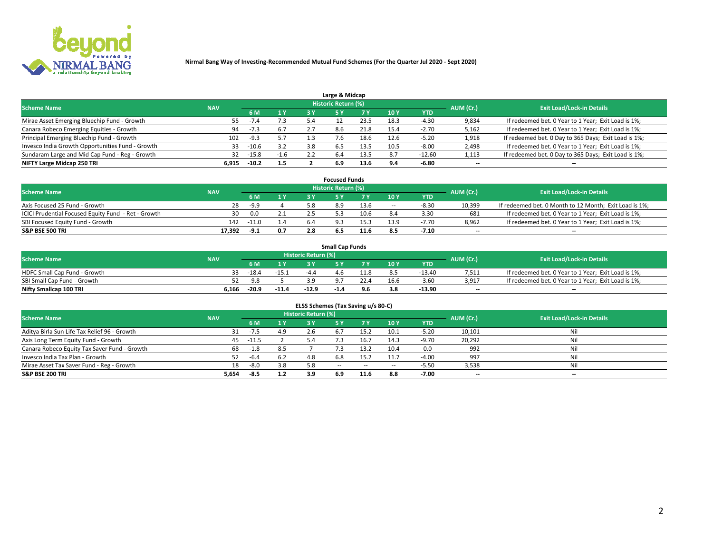

| Large & Midcap                                   |            |         |        |     |                            |      |      |          |                          |                                                      |  |  |  |
|--------------------------------------------------|------------|---------|--------|-----|----------------------------|------|------|----------|--------------------------|------------------------------------------------------|--|--|--|
| <b>Scheme Name</b>                               | <b>NAV</b> |         |        |     | <b>Historic Return (%)</b> |      |      |          | AUM (Cr.)                | <b>Exit Load/Lock-in Details</b>                     |  |  |  |
|                                                  |            | 6 M     | 1 Y    | 3 Y |                            | 7 V  | 10Y  | YTD      |                          |                                                      |  |  |  |
| Mirae Asset Emerging Bluechip Fund - Growth      | 55         | $-7.4$  | 7.3    |     |                            | 23.5 | 18.3 | -4.30    | 9,834                    | If redeemed bet. 0 Year to 1 Year; Exit Load is 1%;  |  |  |  |
| Canara Robeco Emerging Equities - Growth         | 94         |         | 6.7    |     | 8.6                        | 21.8 | 15.4 | $-2.70$  | 5,162                    | If redeemed bet. 0 Year to 1 Year; Exit Load is 1%;  |  |  |  |
| Principal Emerging Bluechip Fund - Growth        | 102        | $-9.3$  | 5.7    |     |                            | 18.6 | 12.6 | $-5.20$  | 1,918                    | If redeemed bet. 0 Day to 365 Days; Exit Load is 1%; |  |  |  |
| Invesco India Growth Opportunities Fund - Growth | 33         | $-10.6$ | 3.2    | 3.8 | 6.5                        |      | 10.5 | $-8.00$  | 2,498                    | If redeemed bet. 0 Year to 1 Year; Exit Load is 1%;  |  |  |  |
| Sundaram Large and Mid Cap Fund - Reg - Growth   | 32         | $-15.8$ | $-1.6$ |     | 6.4                        | 13.5 | 8.7  | $-12.60$ | 1,113                    | If redeemed bet. 0 Day to 365 Days; Exit Load is 1%; |  |  |  |
| NIFTY Large Midcap 250 TRI                       | 6.915      | $-10.2$ | 1.5    |     | 6.9                        | 13.6 | 0 A  | $-6.80$  | $\overline{\phantom{a}}$ | $- -$                                                |  |  |  |

|                                                     |            |         |     |     | <b>Focused Funds</b> |      |        |            |                          |                                                        |
|-----------------------------------------------------|------------|---------|-----|-----|----------------------|------|--------|------------|--------------------------|--------------------------------------------------------|
| <b>Scheme Name</b>                                  | <b>NAV</b> |         |     |     | Historic Return (%)  |      |        |            | AUM (Cr.)                | <b>Exit Load/Lock-in Details</b>                       |
|                                                     |            | 6 M     | 1 Y |     |                      |      | 10 Y   | <b>YTD</b> |                          |                                                        |
| Axis Focused 25 Fund - Growth                       | 28         | $-9.9$  |     |     |                      | 13.6 | $\sim$ | $-8.30$    | 10.399                   | If redeemed bet. 0 Month to 12 Month; Exit Load is 1%; |
| ICICI Prudential Focused Equity Fund - Ret - Growth | 30         | 0.0     |     |     |                      | 10.6 |        | 3.30       | 681                      | If redeemed bet. 0 Year to 1 Year; Exit Load is 1%;    |
| SBI Focused Equity Fund - Growth                    | 142        | $-11.0$ | 1.4 | 6.4 |                      |      |        | $-7.70$    | 8,962                    | If redeemed bet. 0 Year to 1 Year; Exit Load is 1%;    |
| <b>S&amp;P BSE 500 TRI</b>                          | 17.392     | -9.1    | 0.7 |     |                      | 11.6 |        | $-7.10$    | $\overline{\phantom{a}}$ | $- -$                                                  |

| <b>Small Cap Funds</b>       |            |         |         |                     |      |      |                 |            |           |                                                     |  |  |  |
|------------------------------|------------|---------|---------|---------------------|------|------|-----------------|------------|-----------|-----------------------------------------------------|--|--|--|
| <b>Scheme Name</b>           | <b>NAV</b> |         |         | Historic Return (%) |      |      |                 |            | AUM (Cr.) | <b>Exit Load/Lock-in Details</b>                    |  |  |  |
|                              |            | 6 M     | 1 Y     |                     |      |      | 10 <sub>Y</sub> | <b>YTD</b> |           |                                                     |  |  |  |
| HDFC Small Cap Fund - Growth |            | $-18.4$ | $-15.1$ | -4                  | 4.6  | 11.8 |                 | $-13.40$   | 7,511     | If redeemed bet. 0 Year to 1 Year; Exit Load is 1%; |  |  |  |
| SBI Small Cap Fund - Growth  | 52         | -9.8    |         | 2 Q                 |      | 22.4 | 16.6            | $-3.60$    | 3,917     | If redeemed bet. 0 Year to 1 Year; Exit Load is 1%; |  |  |  |
| Nifty Smallcap 100 TRI       | 6.166      | -20.9   | $-11.4$ | $-12.9$             | -1.4 | 9.6  |                 | $-13.90$   | $-$       | $- -$                                               |  |  |  |

| ELSS Schemes (Tax Saving u/s 80-C)           |            |         |     |                            |                |        |        |            |           |                                  |  |  |  |  |
|----------------------------------------------|------------|---------|-----|----------------------------|----------------|--------|--------|------------|-----------|----------------------------------|--|--|--|--|
| <b>Scheme Name</b>                           | <b>NAV</b> |         |     | <b>Historic Return (%)</b> |                |        |        |            | AUM (Cr.) | <b>Exit Load/Lock-in Details</b> |  |  |  |  |
|                                              |            | 6 M     |     |                            |                | 7 Y    | 10 Y   | <b>YTD</b> |           |                                  |  |  |  |  |
| Aditya Birla Sun Life Tax Relief 96 - Growth |            | $-7.5$  | 4.9 |                            |                | 15.2   | 10.1   | $-5.20$    | 10,101    | Nil                              |  |  |  |  |
| Axis Long Term Equity Fund - Growth          | 45         | $-11.5$ |     | 5.4                        | $^{\prime}$ .3 | 16.7   | 14.3   | $-9.70$    | 20,292    | Nil                              |  |  |  |  |
| Canara Robeco Equity Tax Saver Fund - Growth | 68         | $-1.8$  | 8.5 |                            |                | 13.2   | 10.4   | 0.0        | 992       | Nil                              |  |  |  |  |
| Invesco India Tax Plan - Growth              |            | $-6.4$  | 6.2 |                            | 6.8            | 15.2   | 11.7   | $-4.00$    | 997       | Nil                              |  |  |  |  |
| Mirae Asset Tax Saver Fund - Reg - Growth    | 18         | $-8.0$  | 3.8 | 5.8                        | $\sim$ $-$     | $\sim$ | $\sim$ | $-5.50$    | 3,538     | Nil                              |  |  |  |  |
| S&P BSE 200 TRI                              | 5,654      | $-8.5$  | 1.2 | 3.9                        | 6.9            | 11.6   | 8.8    | $-7.00$    | --        | $- -$                            |  |  |  |  |

# 2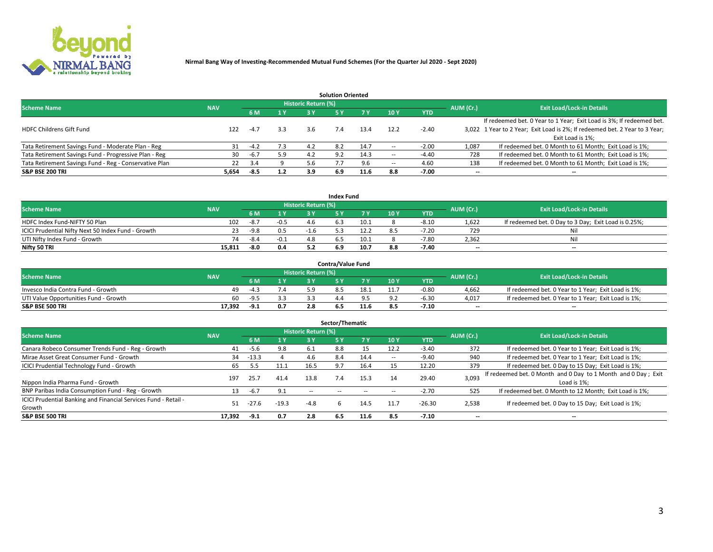

| <b>Solution Oriented</b>                               |            |            |     |                            |     |      |                          |            |                          |                                                                             |  |  |  |  |
|--------------------------------------------------------|------------|------------|-----|----------------------------|-----|------|--------------------------|------------|--------------------------|-----------------------------------------------------------------------------|--|--|--|--|
| <b>Scheme Name</b>                                     | <b>NAV</b> |            |     | <b>Historic Return (%)</b> |     |      |                          |            | AUM (Cr.)                | <b>Exit Load/Lock-in Details</b>                                            |  |  |  |  |
|                                                        |            | <b>6 M</b> | 1 Y | 73 V                       |     |      | 10Y                      | <b>YTD</b> |                          |                                                                             |  |  |  |  |
|                                                        |            |            |     |                            |     |      |                          |            |                          | If redeemed bet. 0 Year to 1 Year; Exit Load is 3%; If redeemed bet.        |  |  |  |  |
| <b>HDFC Childrens Gift Fund</b>                        | 122        | $-4.7$     | 3.3 | 3.6                        |     | 13.4 | 12.2                     | $-2.40$    |                          | 3,022 1 Year to 2 Year; Exit Load is 2%; If redeemed bet. 2 Year to 3 Year; |  |  |  |  |
|                                                        |            |            |     |                            |     |      |                          |            |                          | Exit Load is 1%:                                                            |  |  |  |  |
| Tata Retirement Savings Fund - Moderate Plan - Reg     | 31         | $-4.2$     | 7.3 | 4.2                        | 8.2 | 14.7 | --                       | $-2.00$    | 1,087                    | If redeemed bet. 0 Month to 61 Month; Exit Load is 1%;                      |  |  |  |  |
| Tata Retirement Savings Fund - Progressive Plan - Reg  | 30         | $-6.7$     | 5.9 | 4.2                        | 9.2 | 14.3 | $\overline{\phantom{a}}$ | $-4.40$    | 728                      | If redeemed bet. 0 Month to 61 Month; Exit Load is 1%;                      |  |  |  |  |
| Tata Retirement Savings Fund - Reg - Conservative Plan | 22         | 3.4        |     |                            |     | 9.6  | --                       | 4.60       | 138                      | If redeemed bet. 0 Month to 61 Month; Exit Load is 1%;                      |  |  |  |  |
| S&P BSE 200 TRI                                        | 5,654      | -8.5       | 1.2 | 3.9                        | 6.9 | 11.6 | 8.8                      | $-7.00$    | $\overline{\phantom{a}}$ | $- -$                                                                       |  |  |  |  |

|                                                    |            |        |                |                            | <b>Index Fund</b> |      |      |            |                          |                                                      |
|----------------------------------------------------|------------|--------|----------------|----------------------------|-------------------|------|------|------------|--------------------------|------------------------------------------------------|
| <b>Scheme Name</b>                                 | <b>NAV</b> |        |                | <b>Historic Return (%)</b> |                   |      |      |            | AUM (Cr.)                | <b>Exit Load/Lock-in Details</b>                     |
|                                                    |            |        | $\sqrt{1}$ $V$ | 2 V                        |                   | 7 V  | 10 Y | <b>YTD</b> |                          |                                                      |
| HDFC Index Fund-NIFTY 50 Plan                      | 102        | -8.7   | $-0.5$         |                            |                   | 10.1 |      | $-8.10$    | 1,622                    | If redeemed bet. 0 Day to 3 Day; Exit Load is 0.25%; |
| ICICI Prudential Nifty Next 50 Index Fund - Growth |            | -9.8   | 0.5            | $-1.6$                     |                   |      |      | $-7.20$    | 729                      | Nil                                                  |
| UTI Nifty Index Fund - Growth                      | 74         | $-8.4$ | $-0.1$         |                            |                   | 10.1 |      | $-7.80$    | 2,362                    | Nil                                                  |
| Nifty 50 TRI                                       | 15.811     | $-8.0$ | 0.4            |                            | 6.9               | 10.7 | 8.8  | $-7.40$    | $\overline{\phantom{a}}$ | $- -$                                                |

|                                       |            |        |                                   |                            | <b>Contra/Value Fund</b> |      |     |            |                          |                                                     |
|---------------------------------------|------------|--------|-----------------------------------|----------------------------|--------------------------|------|-----|------------|--------------------------|-----------------------------------------------------|
| <b>Scheme Name</b>                    | <b>NAV</b> |        |                                   | <b>Historic Return (%)</b> |                          |      |     |            | AUM (Cr.)                | <b>Exit Load/Lock-in Details</b>                    |
|                                       |            |        | $\boldsymbol{A}$ $\boldsymbol{V}$ |                            |                          | 7 V  | 10Y | <b>YTD</b> |                          |                                                     |
| Invesco India Contra Fund - Growth    | 49         | -43    | 4. ا                              |                            |                          | 18.1 |     | $-0.80$    | 4.662                    | If redeemed bet. 0 Year to 1 Year; Exit Load is 1%; |
| UTI Value Opportunities Fund - Growth | 60         | $-9.5$ |                                   |                            |                          |      |     | $-6.30$    | 4,017                    | If redeemed bet. 0 Year to 1 Year; Exit Load is 1%; |
| <b>S&amp;P BSE 500 TRI</b>            | 17.392     | $-9.1$ |                                   |                            |                          | 11.6 |     | $-7.10$    | $\overline{\phantom{a}}$ | $- -$                                               |

| Sector/Thematic                                                           |            |         |         |                            |            |           |      |            |                          |                                                                              |  |  |  |
|---------------------------------------------------------------------------|------------|---------|---------|----------------------------|------------|-----------|------|------------|--------------------------|------------------------------------------------------------------------------|--|--|--|
| <b>Scheme Name</b>                                                        | <b>NAV</b> |         |         | <b>Historic Return (%)</b> |            |           |      |            | AUM (Cr.)                | <b>Exit Load/Lock-in Details</b>                                             |  |  |  |
|                                                                           |            | 6 M     | 1 Y     | 3 Y                        | 5 Y        | <b>7Y</b> | 10Y  | <b>YTD</b> |                          |                                                                              |  |  |  |
| Canara Robeco Consumer Trends Fund - Reg - Growth                         | 41         | -5.6    | 9.8     | -6.1                       | 8.8        | 15        | 12.2 | $-3.40$    | 372                      | If redeemed bet. 0 Year to 1 Year; Exit Load is 1%;                          |  |  |  |
| Mirae Asset Great Consumer Fund - Growth                                  | 34         | $-13.3$ |         | 4.6                        | 8.4        | 14.4      | --   | $-9.40$    | 940                      | If redeemed bet. 0 Year to 1 Year; Exit Load is 1%;                          |  |  |  |
| <b>ICICI Prudential Technology Fund - Growth</b>                          | 65         | 5.5     | 11.1    | 16.5                       | 9.7        | 16.4      |      | 12.20      | 379                      | If redeemed bet. 0 Day to 15 Day; Exit Load is 1%;                           |  |  |  |
| Nippon India Pharma Fund - Growth                                         | 197        | 25.7    | 41.4    | 13.8                       | 7.4        | 15.3      | 14   | 29.40      | 3,093                    | If redeemed bet. 0 Month and 0 Day to 1 Month and 0 Day; Exit<br>Load is 1%: |  |  |  |
| BNP Paribas India Consumption Fund - Reg - Growth                         | 13         | $-6.7$  | 9.1     | $\sim$ $-$                 | $\sim$ $-$ |           |      | $-2.70$    | 525                      | If redeemed bet. 0 Month to 12 Month; Exit Load is 1%;                       |  |  |  |
| ICICI Prudential Banking and Financial Services Fund - Retail -<br>Growth | 51         |         | $-19.3$ | $-4.8$                     |            | 14.5      | 11.7 | $-26.30$   | 2,538                    | If redeemed bet. 0 Day to 15 Day; Exit Load is 1%;                           |  |  |  |
| <b>S&amp;P BSE 500 TRI</b>                                                | 17.392     | $-9.1$  | 0.7     | 2.8                        | 6.5        | 11.6      | 8.5  | $-7.10$    | $\overline{\phantom{a}}$ | $- -$                                                                        |  |  |  |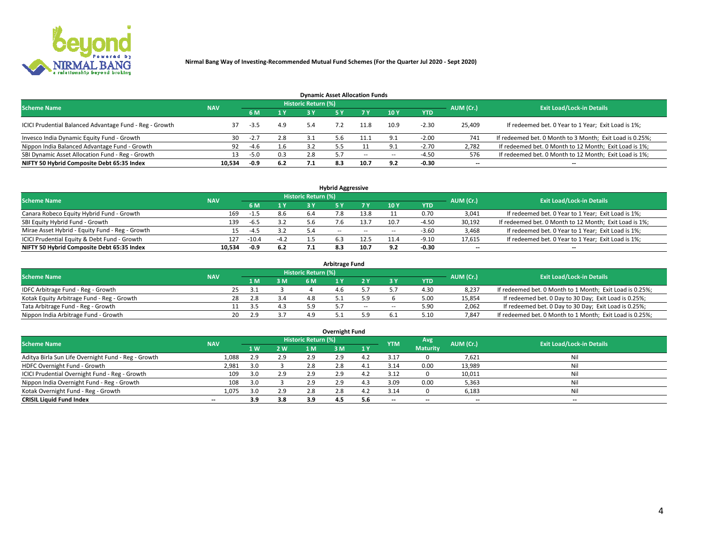

| <b>Dynamic Asset Allocation Funds</b>                   |            |        |     |                            |     |        |                          |            |                          |                                                          |  |  |  |  |
|---------------------------------------------------------|------------|--------|-----|----------------------------|-----|--------|--------------------------|------------|--------------------------|----------------------------------------------------------|--|--|--|--|
| <b>Scheme Name</b>                                      | <b>NAV</b> |        |     | <b>Historic Return (%)</b> |     |        |                          |            | AUM (Cr.)                | <b>Exit Load/Lock-in Details</b>                         |  |  |  |  |
|                                                         |            | 6 M    | 1 Y |                            |     |        | <b>10Y</b>               | <b>YTD</b> |                          |                                                          |  |  |  |  |
| ICICI Prudential Balanced Advantage Fund - Reg - Growth |            | $-3.5$ | 4.9 | 5.4                        |     | 11.8   | 10.9                     | $-2.30$    | 25,409                   | If redeemed bet. 0 Year to 1 Year; Exit Load is 1%;      |  |  |  |  |
| Invesco India Dynamic Equity Fund - Growth              | 30         | $-2.7$ | 2.8 | 3.1                        | 5.b |        | Q 1                      | $-2.00$    | 741                      | If redeemed bet. 0 Month to 3 Month; Exit Load is 0.25%; |  |  |  |  |
| Nippon India Balanced Advantage Fund - Growth           | 92         | $-4.6$ | 1.b |                            |     |        |                          | $-2.70$    | 2,782                    | If redeemed bet. 0 Month to 12 Month; Exit Load is 1%;   |  |  |  |  |
| SBI Dynamic Asset Allocation Fund - Reg - Growth        | 13.        | $-5.0$ | 0.3 | 2.8                        |     | $\sim$ | $\overline{\phantom{a}}$ | $-4.50$    | 576                      | If redeemed bet. 0 Month to 12 Month; Exit Load is 1%;   |  |  |  |  |
| NIFTY 50 Hybrid Composite Debt 65:35 Index              | 10,534     | $-0.9$ | 6.2 |                            | 8.3 | 10.7   | 9.2                      | $-0.30$    | $\overline{\phantom{a}}$ |                                                          |  |  |  |  |

| <b>Hybrid Aggressive</b>                        |            |                                  |        |     |               |        |      |            |                          |                                                        |  |  |  |  |
|-------------------------------------------------|------------|----------------------------------|--------|-----|---------------|--------|------|------------|--------------------------|--------------------------------------------------------|--|--|--|--|
| <b>Scheme Name</b>                              | AUM (Cr.)  | <b>Exit Load/Lock-in Details</b> |        |     |               |        |      |            |                          |                                                        |  |  |  |  |
|                                                 | <b>NAV</b> | 6 M                              | 1 Y    |     |               | 7 V    | 10Y  | <b>YTD</b> |                          |                                                        |  |  |  |  |
| Canara Robeco Equity Hybrid Fund - Growth       | 169        | -1.5                             | 8.6    | 6.4 |               |        |      | 0.70       | 3,041                    | If redeemed bet. 0 Year to 1 Year; Exit Load is 1%;    |  |  |  |  |
| SBI Equity Hybrid Fund - Growth                 | 139        | $-6.5$                           | 3.2    | b.b |               | 13.7   | 10.7 | $-4.50$    | 30,192                   | If redeemed bet. 0 Month to 12 Month; Exit Load is 1%; |  |  |  |  |
| Mirae Asset Hybrid - Equity Fund - Reg - Growth |            | -4.5                             | 3.2    | 5.4 | $\sim$ $\sim$ | $\sim$ | --   | $-3.60$    | 3,468                    | If redeemed bet. 0 Year to 1 Year; Exit Load is 1%;    |  |  |  |  |
| ICICI Prudential Equity & Debt Fund - Growth    | 127        | $-10.4$                          | $-4.2$ |     |               | 12.5   |      | $-9.10$    | 17,615                   | If redeemed bet. 0 Year to 1 Year; Exit Load is 1%;    |  |  |  |  |
| NIFTY 50 Hybrid Composite Debt 65:35 Index      | 10.534     | -0.9                             | 6.2    |     | 8.3           | 10.7   | 9.2  | -0.30      | $\overline{\phantom{a}}$ | $- -$                                                  |  |  |  |  |

| <b>Arbitrage Fund</b>                      |            |    |      |     |                     |     |        |        |            |           |                                                          |  |  |  |
|--------------------------------------------|------------|----|------|-----|---------------------|-----|--------|--------|------------|-----------|----------------------------------------------------------|--|--|--|
| <b>Scheme Name</b>                         | <b>NAV</b> |    |      |     | Historic Return (%) |     |        |        |            | AUM (Cr.) | <b>Exit Load/Lock-in Details</b>                         |  |  |  |
|                                            |            |    | L M. | 3 M | 6 M                 |     |        |        | <b>YTD</b> |           |                                                          |  |  |  |
| IDFC Arbitrage Fund - Reg - Growth         |            | 25 | -31  |     |                     | 4.b |        |        | 4.30       | 8,237     | If redeemed bet. 0 Month to 1 Month; Exit Load is 0.25%; |  |  |  |
| Kotak Equity Arbitrage Fund - Reg - Growth |            |    | 2.8  |     |                     |     |        |        | 5.00       | 15,854    | If redeemed bet. 0 Day to 30 Day; Exit Load is 0.25%;    |  |  |  |
| Tata Arbitrage Fund - Reg - Growth         |            |    |      |     | 59                  |     | $\sim$ | $\sim$ | 5.90       | 2,062     | If redeemed bet. 0 Day to 30 Day; Exit Load is 0.25%;    |  |  |  |
| Nippon India Arbitrage Fund - Growth       |            | 20 | 2.9  |     | 1 Q                 |     |        |        | 5.10       | 7.847     | If redeemed bet. 0 Month to 1 Month; Exit Load is 0.25%; |  |  |  |

| Overnight Fund                                      |            |     |      |                            |     |           |            |                 |                          |                                  |  |  |  |
|-----------------------------------------------------|------------|-----|------|----------------------------|-----|-----------|------------|-----------------|--------------------------|----------------------------------|--|--|--|
| <b>Scheme Name</b>                                  | <b>NAV</b> |     |      | <b>Historic Return (%)</b> |     |           | <b>YTM</b> | Avg             | AUM (Cr.)                | <b>Exit Load/Lock-in Details</b> |  |  |  |
|                                                     |            | 1 W | 2 W. | 1 M                        | 3 M | <b>1Y</b> |            | <b>Maturity</b> |                          |                                  |  |  |  |
| Aditya Birla Sun Life Overnight Fund - Reg - Growth | 1,088      | 2.9 | 2.9  | 2.9                        | 2.9 | 4.Z       | 3.17       |                 | 7,621                    | Nil                              |  |  |  |
| HDFC Overnight Fund - Growth                        | 2,981      |     |      | 2.8                        | 2.8 |           | 3.14       | 0.00            | 13,989                   | Nil                              |  |  |  |
| ICICI Prudential Overnight Fund - Reg - Growth      | 109        |     | 2.9  | 2.9                        | 2.9 |           | 3.12       |                 | 10,011                   | Nil                              |  |  |  |
| Nippon India Overnight Fund - Reg - Growth          | 108        |     |      | 2.9                        | 2.9 |           | 3.09       | 0.00            | 5,363                    | Nil                              |  |  |  |
| Kotak Overnight Fund - Reg - Growth                 | 1,075      |     | 2.9  | 2.8                        | 2.8 | 4.Z       | 3.14       |                 | 6,183                    | Nil                              |  |  |  |
| <b>CRISIL Liquid Fund Index</b>                     | $- -$      | 3.9 | 3.8  | 3.9                        | 4.5 | 5.6       | --         | --              | $\overline{\phantom{a}}$ | --                               |  |  |  |

#### **Overnight Fund**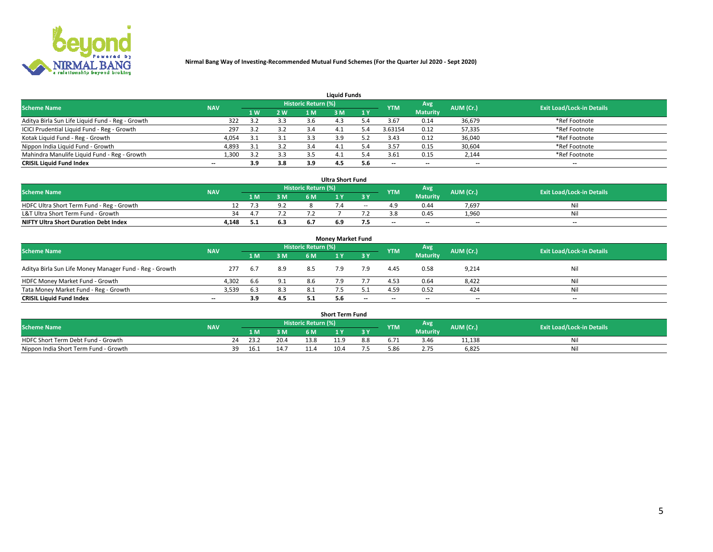

| <b>Liquid Funds</b>                              |            |     |     |                            |      |     |            |                 |                          |                                  |  |  |  |  |
|--------------------------------------------------|------------|-----|-----|----------------------------|------|-----|------------|-----------------|--------------------------|----------------------------------|--|--|--|--|
| <b>Scheme Name</b>                               | <b>NAV</b> |     |     | <b>Historic Return (%)</b> |      |     | <b>YTM</b> | Avg             | AUM (Cr.)                | <b>Exit Load/Lock-in Details</b> |  |  |  |  |
|                                                  |            | 1 W | 2 W | 1 M                        | ዩ M  | 1Y  |            | <b>Maturity</b> |                          |                                  |  |  |  |  |
| Aditya Birla Sun Life Liquid Fund - Reg - Growth | 322        |     | 3.3 | 3.6                        |      |     | 3.67       | 0.14            | 36,679                   | *Ref Footnote                    |  |  |  |  |
| ICICI Prudential Liquid Fund - Reg - Growth      | 297        |     | 3.2 | 3.4                        | 4.⊥  | 4.د | 3.63154    | 0.12            | 57,335                   | *Ref Footnote                    |  |  |  |  |
| Kotak Liquid Fund - Reg - Growth                 | 4,054      | 3.1 | 3.1 |                            | 3.9  |     | 3.43       | 0.12            | 36,040                   | *Ref Footnote                    |  |  |  |  |
| Nippon India Liquid Fund - Growth                | 4,893      | 3.1 | 3.2 | -5.4                       | -4.1 | 5.4 | 3.57       | 0.15            | 30,604                   | *Ref Footnote                    |  |  |  |  |
| Mahindra Manulife Liquid Fund - Reg - Growth     | 1,300      | っっ  | 3.3 |                            | 4.   | - 4 | 3.61       | 0.15            | 2,144                    | *Ref Footnote                    |  |  |  |  |
| <b>CRISIL Liquid Fund Index</b>                  | $- -$      | 3.9 | 3.8 | 3.9                        | 4.5  | 5.6 | $- -$      | $- -$           | $\overline{\phantom{a}}$ | $\hspace{0.05cm} \cdots$         |  |  |  |  |

| <b>Ultra Short Fund</b>                      |            |      |     |                            |  |        |            |                 |                          |                                  |  |  |  |  |
|----------------------------------------------|------------|------|-----|----------------------------|--|--------|------------|-----------------|--------------------------|----------------------------------|--|--|--|--|
| <b>Scheme Name</b>                           | <b>NAV</b> |      |     | <b>Historic Return (%)</b> |  |        | <b>YTM</b> | <b>Avg</b>      | AUM (Cr.)                | <b>Exit Load/Lock-in Details</b> |  |  |  |  |
|                                              |            | 1 M  | 3 M | 6 M                        |  | 3 Y    |            | <b>Maturity</b> |                          |                                  |  |  |  |  |
| HDFC Ultra Short Term Fund - Reg - Growth    |            | 75.5 | 9.2 |                            |  | $\sim$ |            | 0.44            | 7,697                    | Nil                              |  |  |  |  |
| L&T Ultra Short Term Fund - Growth           | 34         |      |     |                            |  |        |            | 0.45            | 1.960                    | Nil                              |  |  |  |  |
| <b>NIFTY Ultra Short Duration Debt Index</b> | 4,148      | 5.1  | 6.3 |                            |  |        | $- -$      | $- -$           | $\overline{\phantom{a}}$ | $- -$                            |  |  |  |  |

| <b>Monev Market Fund</b>                                |            |       |     |                     |     |       |                          |                 |                          |                                  |  |  |  |  |
|---------------------------------------------------------|------------|-------|-----|---------------------|-----|-------|--------------------------|-----------------|--------------------------|----------------------------------|--|--|--|--|
| <b>Scheme Name</b>                                      | <b>NAV</b> |       |     | Historic Return (%) |     |       | <b>YTM</b>               | Avg.            | AUM (Cr.)                | <b>Exit Load/Lock-in Details</b> |  |  |  |  |
|                                                         |            | 1 M   | 3 M | 6 M                 |     | 3 Y   |                          | <b>Maturity</b> |                          |                                  |  |  |  |  |
| Aditya Birla Sun Life Money Manager Fund - Reg - Growth | 277        | - 6.7 | 8.9 | 8.5                 |     | 7.9   | 4.45                     | 0.58            | 9,214                    | Nil                              |  |  |  |  |
| HDFC Money Market Fund - Growth                         | 4.302      | 6.6   | 9.1 | 8.6                 |     |       | 4.53                     | 0.64            | 8,422                    | Nil                              |  |  |  |  |
| Tata Money Market Fund - Reg - Growth                   | 3,539      | 6.3   | 8.3 | 8.1                 |     |       | 4.59                     | 0.52            | 424                      | Nil                              |  |  |  |  |
| <b>CRISIL Liquid Fund Index</b>                         | $- -$      | 3.9   | 4.5 | 5.1                 | 5.6 | $- -$ | $\overline{\phantom{a}}$ | $-$             | $\overline{\phantom{a}}$ | $- -$                            |  |  |  |  |

|                                       |            |       |                |                     | <b>Short Term Fund</b> |     |      |                 |           |                                  |
|---------------------------------------|------------|-------|----------------|---------------------|------------------------|-----|------|-----------------|-----------|----------------------------------|
| <b>Scheme Name</b>                    | <b>NAV</b> |       |                | Historic Return (%) |                        |     | YTM  | Avg             | AUM (Cr.) | <b>Exit Load/Lock-in Details</b> |
|                                       |            | 1 M . | 3 M            | 6 M                 | ı v                    | 2V  |      | <b>Maturity</b> |           |                                  |
| HDFC Short Term Debt Fund - Growth    |            | 23.2  | 20.4           | 13.8                | 11.9                   | 8.8 |      | 3.46            | 11,138    | M                                |
| Nippon India Short Term Fund - Growth | 39         | 16.1  | 1 A -<br>14. . |                     | 10.4                   |     | 5.86 |                 | 6,825     | N                                |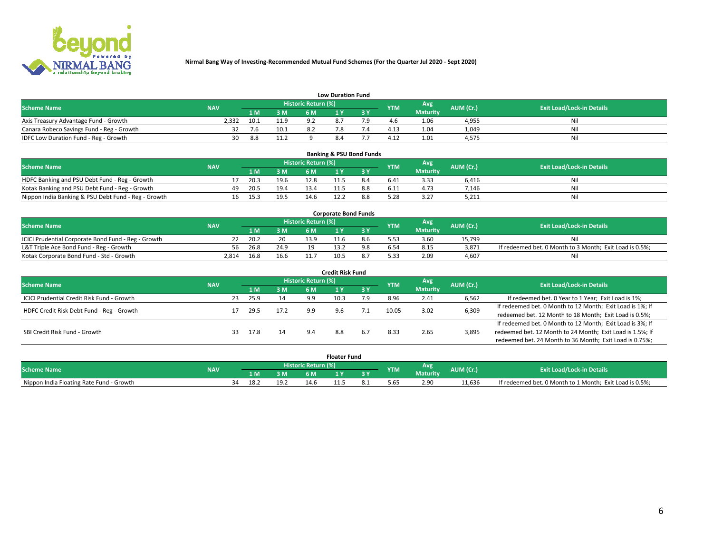

| <b>Low Duration Fund</b>                  |            |      |                            |                     |     |  |               |                 |           |                                  |  |  |  |  |
|-------------------------------------------|------------|------|----------------------------|---------------------|-----|--|---------------|-----------------|-----------|----------------------------------|--|--|--|--|
| <b>Scheme Name</b>                        | <b>NAV</b> |      |                            | Historic Return (%) |     |  | <b>YTM</b>    | <b>Avg</b>      | AUM (Cr.) | <b>Exit Load/Lock-in Details</b> |  |  |  |  |
|                                           |            | LM.  | 3 M                        | 6 M                 |     |  |               | <b>Maturity</b> |           |                                  |  |  |  |  |
| Axis Treasury Advantage Fund - Growth     | 2.332      | 10.1 | 11.9                       |                     |     |  |               | 1.06            | 4,955     | Nil                              |  |  |  |  |
| Canara Robeco Savings Fund - Reg - Growth |            | 7.6  | 10.1                       |                     |     |  | $4.1^{\circ}$ | 1.04            | 1,049     | Nil                              |  |  |  |  |
| IDFC Low Duration Fund - Reg - Growth     | 30         | 8.8  | 11 <sub>2</sub><br><b></b> |                     | 8.4 |  | 4.17          | 1.01            | 4,575     | Nil                              |  |  |  |  |

| <b>Banking &amp; PSU Bond Funds</b>                 |            |    |      |      |                            |      |  |            |                 |           |                                  |  |  |  |
|-----------------------------------------------------|------------|----|------|------|----------------------------|------|--|------------|-----------------|-----------|----------------------------------|--|--|--|
| <b>Scheme Name</b>                                  | <b>NAV</b> |    |      |      | <b>Historic Return (%)</b> |      |  | <b>YTM</b> | Avg             | AUM (Cr.) | <b>Exit Load/Lock-in Details</b> |  |  |  |
|                                                     |            |    |      | 3M   | 6 M                        |      |  |            | <b>Maturity</b> |           |                                  |  |  |  |
| HDFC Banking and PSU Debt Fund - Reg - Growth       |            |    | 20.3 | 19.6 | 12.8                       | 11.5 |  | 6.41       | 3.33            | 6.416     | Nil                              |  |  |  |
| Kotak Banking and PSU Debt Fund - Reg - Growth      |            | 49 | 20.5 | 19.4 | 13.4                       |      |  | 6.11       | 4.73            | 7.146     | Ni                               |  |  |  |
| Nippon India Banking & PSU Debt Fund - Reg - Growth |            | 16 | 15.3 | 19.5 | 14.6                       |      |  | 5.28       | 3.27            | 5,211     | Nil                              |  |  |  |

| <b>Corporate Bond Funds</b>                         |            |      |      |                            |      |  |            |          |           |                                                         |  |  |  |  |
|-----------------------------------------------------|------------|------|------|----------------------------|------|--|------------|----------|-----------|---------------------------------------------------------|--|--|--|--|
| <b>Scheme Name</b>                                  | <b>NAV</b> |      |      | <b>Historic Return (%)</b> |      |  | <b>YTM</b> | Avg      | AUM (Cr.) | <b>Exit Load/Lock-in Details</b>                        |  |  |  |  |
|                                                     |            |      | 3 M  | 6 M.                       |      |  |            | Maturity |           |                                                         |  |  |  |  |
| ICICI Prudential Corporate Bond Fund - Reg - Growth |            | 20.2 | 20   | 13.9                       |      |  |            | 3.60     | 15.799    | Nil                                                     |  |  |  |  |
| L&T Triple Ace Bond Fund - Reg - Growth             | 56         | 26.8 | 24.9 | 1 ດ                        |      |  |            | 8.15     | 3,871     | If redeemed bet. 0 Month to 3 Month; Exit Load is 0.5%; |  |  |  |  |
| Kotak Corporate Bond Fund - Std - Growth            | 2.814      | 16.8 | 16.6 |                            | 10.5 |  | 5.33       | 2.09     | 4.607     | Nil                                                     |  |  |  |  |

| <b>Credit Risk Fund</b>                    |            |     |      |      |                     |      |     |            |                 |           |                                                           |  |  |
|--------------------------------------------|------------|-----|------|------|---------------------|------|-----|------------|-----------------|-----------|-----------------------------------------------------------|--|--|
| <b>Scheme Name</b>                         | <b>NAV</b> |     |      |      | Historic Return (%) |      |     | <b>YTM</b> | Avg             | AUM (Cr.) | <b>Exit Load/Lock-in Details</b>                          |  |  |
|                                            |            |     | 1 M  | 3 M  | 6 M                 |      | 3 Y |            | <b>Maturity</b> |           |                                                           |  |  |
| ICICI Prudential Credit Risk Fund - Growth |            | 23  | 25.9 | 14   | 9.9                 | 10.3 | 7.9 | 8.96       | 2.41            | 6,562     | If redeemed bet. 0 Year to 1 Year; Exit Load is 1%;       |  |  |
| HDFC Credit Risk Debt Fund - Reg - Growth  |            |     | 29.5 | 17.2 | 9.9                 |      |     | 10.05      | 3.02            | 6,309     | If redeemed bet. 0 Month to 12 Month; Exit Load is 1%; If |  |  |
|                                            |            |     |      |      |                     |      |     |            |                 |           | redeemed bet. 12 Month to 18 Month; Exit Load is 0.5%;    |  |  |
|                                            |            |     |      |      |                     |      |     |            |                 |           | If redeemed bet. 0 Month to 12 Month; Exit Load is 3%; If |  |  |
| SBI Credit Risk Fund - Growth              |            | 33. | 17.8 | 14   | $Q \Lambda$         | 8.8  | 6.7 | 8.33       | 2.65            | 3,895     | redeemed bet. 12 Month to 24 Month; Exit Load is 1.5%; If |  |  |
|                                            |            |     |      |      |                     |      |     |            |                 |           | redeemed bet. 24 Month to 36 Month; Exit Load is 0.75%;   |  |  |

| <b>Floater Fund</b>                      |            |                       |      |    |      |      |    |      |          |           |                                                         |
|------------------------------------------|------------|-----------------------|------|----|------|------|----|------|----------|-----------|---------------------------------------------------------|
| <b>Scheme Name</b>                       | <b>NAV</b> | Historic Return (%) \ |      |    |      |      |    | YTM  | Avg.     | AUM (Cr.) | <b>Exit Load/Lock-in Details</b>                        |
|                                          |            |                       | 1 M  | ЗM | 6 M  |      | 2V |      | Maturity |           |                                                         |
| Nippon India Floating Rate Fund - Growth |            |                       | 18.2 | .  | 14.6 | 11.5 |    | 5.65 | 2.90     | 11.636    | If redeemed bet. 0 Month to 1 Month; Exit Load is 0.5%; |